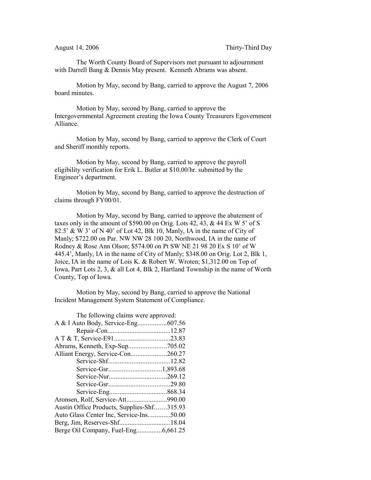The Worth County Board of Supervisors met pursuant to adjournment with Darrell Bang & Dennis May present. Kenneth Abrams was absent.

Motion by May, second by Bang, carried to approve the August 7, 2006 board minutes.

Motion by May, second by Bang, carried to approve the Intergovernmental Agreement creating the Iowa County Treasurers Egovernment Alliance.

Motion by May, second by Bang, carried to approve the Clerk of Court and Sheriff monthly reports.

Motion by May, second by Bang, carried to approve the payroll eligibility verification for Erik L. Butler at \$10.00/hr. submitted by the Engineer's department.

Motion by May, second by Bang, carried to approve the destruction of claims through FY00/01.

Motion by May, second by Bang, carried to approve the abatement of taxes only in the amount of \$590.00 on Orig. Lots 42, 43, & 44 Ex W 5' of S 82.5' & W 3' of N 40' of Lot 42, Blk 10, Manly, IA in the name of City of Manly; \$722.00 on Par. NW NW 28 100 20, Northwood, IA in the name of Rodney & Rose Ann Olson; \$574.00 on Pt SW NE 21 98 20 Ex S 10' of W 445.4', Manly, IA in the name of City of Manly; \$348.00 on Orig. Lot 2, Blk 1, Joice, IA in the name of Lois K. & Robert W. Wroten; \$1,312.00 on Top of Iowa, Part Lots 2, 3, & all Lot 4, Blk 2, Hartland Township in the name of Worth County, Top of Iowa.

Motion by May, second by Bang, carried to approve the National Incident Management System Statement of Compliance.

| The following claims were approved:        |  |
|--------------------------------------------|--|
|                                            |  |
|                                            |  |
|                                            |  |
|                                            |  |
| Alliant Energy, Service-Con260.27          |  |
|                                            |  |
|                                            |  |
|                                            |  |
|                                            |  |
|                                            |  |
|                                            |  |
| Austin Office Products, Supplies-Shf315.93 |  |
| Auto Glass Center Inc, Service-Ins50.00    |  |
|                                            |  |
| Berge Oil Company, Fuel-Eng6,661.25        |  |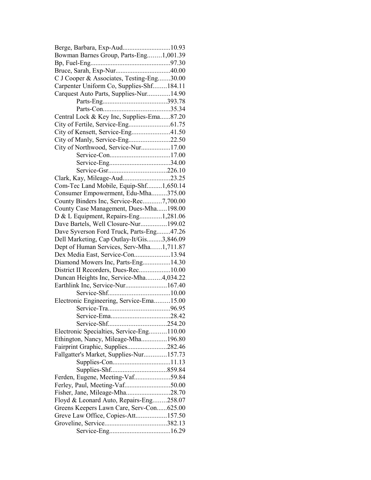| Berge, Barbara, Exp-Aud10.93                                                    |  |
|---------------------------------------------------------------------------------|--|
| Bowman Barnes Group, Parts-Eng1,001.39                                          |  |
|                                                                                 |  |
|                                                                                 |  |
| C J Cooper & Associates, Testing-Eng30.00                                       |  |
| Carpenter Uniform Co, Supplies-Shf184.11                                        |  |
| Carquest Auto Parts, Supplies-Nur14.90                                          |  |
|                                                                                 |  |
|                                                                                 |  |
| Central Lock & Key Inc, Supplies-Ema87.20                                       |  |
|                                                                                 |  |
| City of Kensett, Service-Eng41.50                                               |  |
| City of Manly, Service-Eng22.50                                                 |  |
| City of Northwood, Service-Nur17.00                                             |  |
|                                                                                 |  |
|                                                                                 |  |
|                                                                                 |  |
| Clark, Kay, Mileage-Aud23.25                                                    |  |
| Com-Tec Land Mobile, Equip-Shf1,650.14                                          |  |
| Consumer Empowerment, Edu-Mha375.00                                             |  |
| County Binders Inc, Service-Rec7,700.00                                         |  |
| County Case Management, Dues-Mha198.00                                          |  |
| D & L Equipment, Repairs-Eng1,281.06                                            |  |
| Dave Bartels, Well Closure-Nur199.02                                            |  |
| Dave Syverson Ford Truck, Parts-Eng47.26                                        |  |
| Dell Marketing, Cap Outlay-It/Gis3,846.09                                       |  |
| Dept of Human Services, Serv-Mha1,711.87                                        |  |
| Dex Media East, Service-Con13.94                                                |  |
| Diamond Mowers Inc, Parts-Eng14.30                                              |  |
|                                                                                 |  |
| District II Recorders, Dues-Rec10.00<br>Duncan Heights Inc, Service-Mha4,034.22 |  |
| Earthlink Inc, Service-Nur167.40                                                |  |
|                                                                                 |  |
|                                                                                 |  |
| Electronic Engineering, Service-Ema15.00                                        |  |
|                                                                                 |  |
|                                                                                 |  |
|                                                                                 |  |
| Electronic Specialties, Service-Eng110.00                                       |  |
| Ethington, Nancy, Mileage-Mha196.80                                             |  |
| Fairprint Graphic, Supplies282.46                                               |  |
| Fallgatter's Market, Supplies-Nur157.73                                         |  |
|                                                                                 |  |
|                                                                                 |  |
| Ferden, Eugene, Meeting-Vaf59.84                                                |  |
| Ferley, Paul, Meeting-Vaf50.00                                                  |  |
| Fisher, Jane, Mileage-Mha28.70                                                  |  |
| Floyd & Leonard Auto, Repairs-Eng258.07                                         |  |
| Greens Keepers Lawn Care, Serv-Con625.00                                        |  |
| Greve Law Office, Copies-Att157.50                                              |  |
|                                                                                 |  |
|                                                                                 |  |
|                                                                                 |  |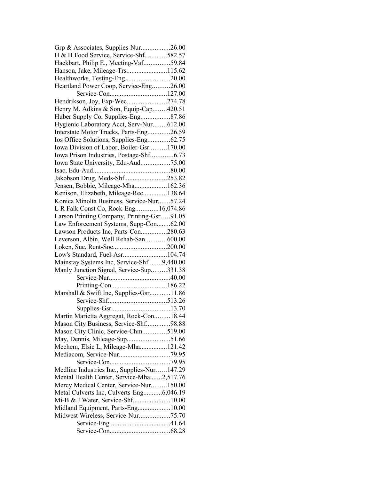| Grp & Associates, Supplies-Nur26.00         |  |
|---------------------------------------------|--|
| H & H Food Service, Service-Shf582.57       |  |
| Hackbart, Philip E., Meeting-Vaf59.84       |  |
| Hanson, Jake, Mileage-Trs115.62             |  |
| Healthworks, Testing-Eng20.00               |  |
| Heartland Power Coop, Service-Eng26.00      |  |
|                                             |  |
| Hendrikson, Joy, Exp-Wec274.78              |  |
| Henry M. Adkins & Son, Equip-Cap420.51      |  |
| Huber Supply Co, Supplies-Eng87.86          |  |
| Hygienic Laboratory Acct, Serv-Nur612.00    |  |
| Interstate Motor Trucks, Parts-Eng26.59     |  |
|                                             |  |
| Iowa Division of Labor, Boiler-Gsr170.00    |  |
| Iowa Prison Industries, Postage-Shf6.73     |  |
| Iowa State University, Edu-Aud75.00         |  |
|                                             |  |
| Jakobson Drug, Meds-Shf253.82               |  |
| Jensen, Bobbie, Mileage-Mha162.36           |  |
| Kenison, Elizabeth, Mileage-Rec138.64       |  |
| Konica Minolta Business, Service-Nur57.24   |  |
| L R Falk Const Co, Rock-Eng16,074.86        |  |
| Larson Printing Company, Printing-Gsr91.05  |  |
| Law Enforcement Systems, Supp-Con62.00      |  |
| Lawson Products Inc, Parts-Con280.63        |  |
| Leverson, Albin, Well Rehab-San600.00       |  |
| Loken, Sue, Rent-Soc200.00                  |  |
|                                             |  |
|                                             |  |
| Low's Standard, Fuel-Asr104.74              |  |
| Mainstay Systems Inc, Service-Shf9,440.00   |  |
| Manly Junction Signal, Service-Sup331.38    |  |
|                                             |  |
|                                             |  |
| Marshall & Swift Inc, Supplies-Gsr11.86     |  |
|                                             |  |
|                                             |  |
| Martin Marietta Aggregat, Rock-Con18.44     |  |
| Mason City Business, Service-Shf98.88       |  |
| Mason City Clinic, Service-Chm519.00        |  |
| May, Dennis, Mileage-Sup51.66               |  |
| Mechem, Elsie L, Mileage-Mha121.42          |  |
|                                             |  |
|                                             |  |
| Medline Industries Inc., Supplies-Nur147.29 |  |
| Mental Health Center, Service-Mha2,517.76   |  |
| Mercy Medical Center, Service-Nur150.00     |  |
| Metal Culverts Inc, Culverts-Eng6,046.19    |  |
| Mi-B & J Water, Service-Shf10.00            |  |
| Midland Equipment, Parts-Eng10.00           |  |
| Midwest Wireless, Service-Nur75.70          |  |
|                                             |  |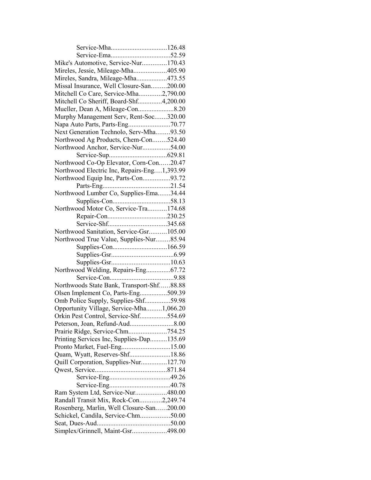| Service-Mha126.48                           |  |
|---------------------------------------------|--|
|                                             |  |
| Mike's Automotive, Service-Nur170.43        |  |
| Mireles, Jessie, Mileage-Mha405.90          |  |
| Mireles, Sandra, Mileage-Mha473.55          |  |
| Missal Insurance, Well Closure-San200.00    |  |
| Mitchell Co Care, Service-Mha2,790.00       |  |
| Mitchell Co Sheriff, Board-Shf4,200.00      |  |
|                                             |  |
| Murphy Management Serv, Rent-Soc320.00      |  |
| Napa Auto Parts, Parts-Eng70.77             |  |
| Next Generation Technolo, Serv-Mha93.50     |  |
| Northwood Ag Products, Chem-Con524.40       |  |
| Northwood Anchor, Service-Nur54.00          |  |
|                                             |  |
| Northwood Co-Op Elevator, Corn-Con20.47     |  |
| Northwood Electric Inc, Repairs-Eng1,393.99 |  |
| Northwood Equip Inc, Parts-Con93.72         |  |
|                                             |  |
| Northwood Lumber Co, Supplies-Ema34.44      |  |
|                                             |  |
| Northwood Motor Co, Service-Tra174.68       |  |
|                                             |  |
|                                             |  |
| Northwood Sanitation, Service-Gsr105.00     |  |
| Northwood True Value, Supplies-Nur85.94     |  |
|                                             |  |
|                                             |  |
|                                             |  |
| Northwood Welding, Repairs-Eng67.72         |  |
|                                             |  |
| Northwoods State Bank, Transport-Shf88.88   |  |
| Olsen Implement Co, Parts-Eng509.39         |  |
| Omb Police Supply, Supplies-Shf59.98        |  |
| Opportunity Village, Service-Mha1,066.20    |  |
| Orkin Pest Control, Service-Shf554.69       |  |
|                                             |  |
| Prairie Ridge, Service-Chm754.25            |  |
| Printing Services Inc, Supplies-Dap135.69   |  |
| Pronto Market, Fuel-Eng15.00                |  |
| Quam, Wyatt, Reserves-Shf18.86              |  |
| Quill Corporation, Supplies-Nur127.70       |  |
|                                             |  |
|                                             |  |
|                                             |  |
| Ram System Ltd, Service-Nur480.00           |  |
| Randall Transit Mix, Rock-Con2,249.74       |  |
| Rosenberg, Marlin, Well Closure-San200.00   |  |
| Schickel, Candila, Service-Chm50.00         |  |
|                                             |  |
| Simplex/Grinnell, Maint-Gsr498.00           |  |
|                                             |  |